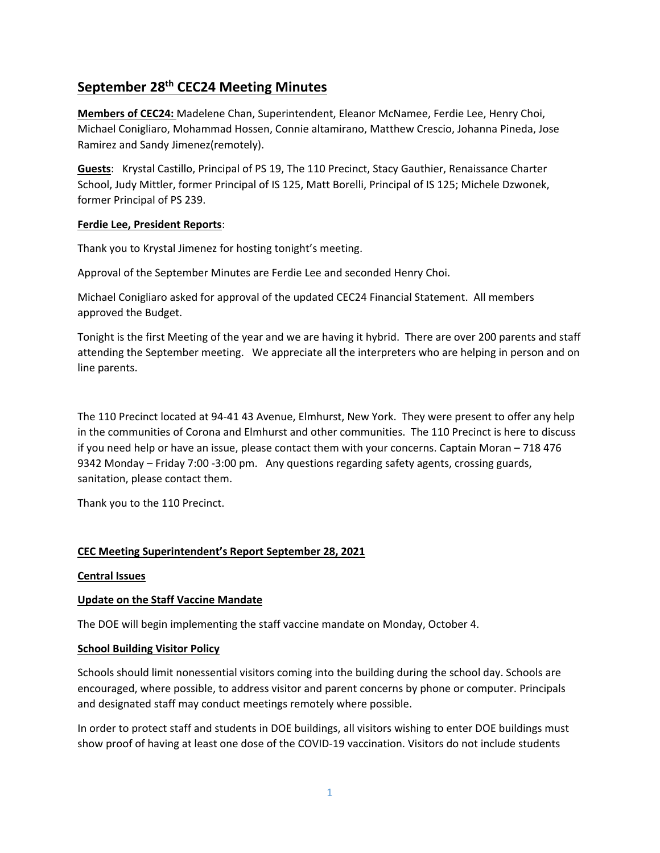# **September 28th CEC24 Meeting Minutes**

**Members of CEC24:** Madelene Chan, Superintendent, Eleanor McNamee, Ferdie Lee, Henry Choi, Michael Conigliaro, Mohammad Hossen, Connie altamirano, Matthew Crescio, Johanna Pineda, Jose Ramirez and Sandy Jimenez(remotely).

**Guests**: Krystal Castillo, Principal of PS 19, The 110 Precinct, Stacy Gauthier, Renaissance Charter School, Judy Mittler, former Principal of IS 125, Matt Borelli, Principal of IS 125; Michele Dzwonek, former Principal of PS 239.

#### **Ferdie Lee, President Reports**:

Thank you to Krystal Jimenez for hosting tonight's meeting.

Approval of the September Minutes are Ferdie Lee and seconded Henry Choi.

Michael Conigliaro asked for approval of the updated CEC24 Financial Statement. All members approved the Budget.

Tonight is the first Meeting of the year and we are having it hybrid. There are over 200 parents and staff attending the September meeting. We appreciate all the interpreters who are helping in person and on line parents.

The 110 Precinct located at 94‐41 43 Avenue, Elmhurst, New York. They were present to offer any help in the communities of Corona and Elmhurst and other communities. The 110 Precinct is here to discuss if you need help or have an issue, please contact them with your concerns. Captain Moran – 718 476 9342 Monday – Friday 7:00 -3:00 pm. Any questions regarding safety agents, crossing guards, sanitation, please contact them.

Thank you to the 110 Precinct.

## **CEC Meeting Superintendent's Report September 28, 2021**

#### **Central Issues**

#### **Update on the Staff Vaccine Mandate**

The DOE will begin implementing the staff vaccine mandate on Monday, October 4.

#### **School Building Visitor Policy**

Schools should limit nonessential visitors coming into the building during the school day. Schools are encouraged, where possible, to address visitor and parent concerns by phone or computer. Principals and designated staff may conduct meetings remotely where possible.

In order to protect staff and students in DOE buildings, all visitors wishing to enter DOE buildings must show proof of having at least one dose of the COVID‐19 vaccination. Visitors do not include students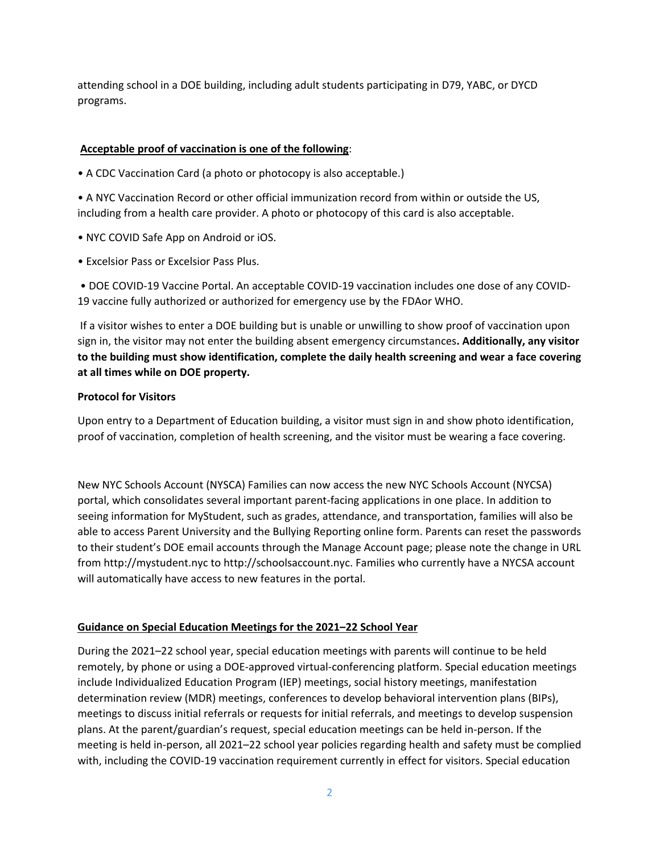attending school in a DOE building, including adult students participating in D79, YABC, or DYCD programs.

## **Acceptable proof of vaccination is one of the following**:

• A CDC Vaccination Card (a photo or photocopy is also acceptable.)

• A NYC Vaccination Record or other official immunization record from within or outside the US, including from a health care provider. A photo or photocopy of this card is also acceptable.

- NYC COVID Safe App on Android or iOS.
- Excelsior Pass or Excelsior Pass Plus.

• DOE COVID‐19 Vaccine Portal. An acceptable COVID‐19 vaccination includes one dose of any COVID‐ 19 vaccine fully authorized or authorized for emergency use by the FDAor WHO.

If a visitor wishes to enter a DOE building but is unable or unwilling to show proof of vaccination upon sign in, the visitor may not enter the building absent emergency circumstances**. Additionally, any visitor to the building must show identification, complete the daily health screening and wear a face covering at all times while on DOE property.**

#### **Protocol for Visitors**

Upon entry to a Department of Education building, a visitor must sign in and show photo identification, proof of vaccination, completion of health screening, and the visitor must be wearing a face covering.

New NYC Schools Account (NYSCA) Families can now access the new NYC Schools Account (NYCSA) portal, which consolidates several important parent‐facing applications in one place. In addition to seeing information for MyStudent, such as grades, attendance, and transportation, families will also be able to access Parent University and the Bullying Reporting online form. Parents can reset the passwords to their student's DOE email accounts through the Manage Account page; please note the change in URL from http://mystudent.nyc to http://schoolsaccount.nyc. Families who currently have a NYCSA account will automatically have access to new features in the portal.

#### **Guidance on Special Education Meetings for the 2021–22 School Year**

During the 2021–22 school year, special education meetings with parents will continue to be held remotely, by phone or using a DOE‐approved virtual‐conferencing platform. Special education meetings include Individualized Education Program (IEP) meetings, social history meetings, manifestation determination review (MDR) meetings, conferences to develop behavioral intervention plans (BIPs), meetings to discuss initial referrals or requests for initial referrals, and meetings to develop suspension plans. At the parent/guardian's request, special education meetings can be held in‐person. If the meeting is held in‐person, all 2021–22 school year policies regarding health and safety must be complied with, including the COVID-19 vaccination requirement currently in effect for visitors. Special education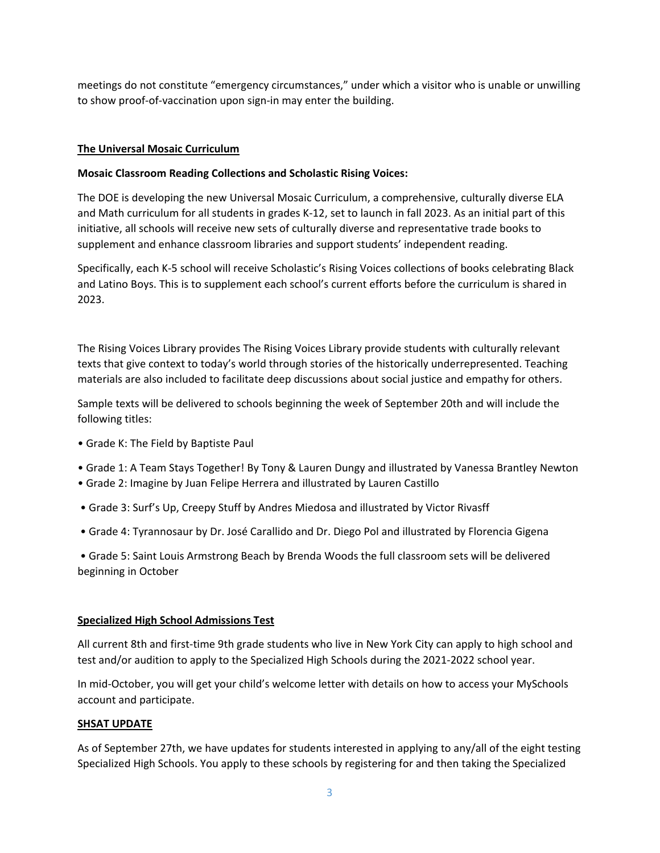meetings do not constitute "emergency circumstances," under which a visitor who is unable or unwilling to show proof‐of‐vaccination upon sign‐in may enter the building.

## **The Universal Mosaic Curriculum**

### **Mosaic Classroom Reading Collections and Scholastic Rising Voices:**

The DOE is developing the new Universal Mosaic Curriculum, a comprehensive, culturally diverse ELA and Math curriculum for all students in grades K-12, set to launch in fall 2023. As an initial part of this initiative, all schools will receive new sets of culturally diverse and representative trade books to supplement and enhance classroom libraries and support students' independent reading.

Specifically, each K‐5 school will receive Scholastic's Rising Voices collections of books celebrating Black and Latino Boys. This is to supplement each school's current efforts before the curriculum is shared in 2023.

The Rising Voices Library provides The Rising Voices Library provide students with culturally relevant texts that give context to today's world through stories of the historically underrepresented. Teaching materials are also included to facilitate deep discussions about social justice and empathy for others.

Sample texts will be delivered to schools beginning the week of September 20th and will include the following titles:

- Grade K: The Field by Baptiste Paul
- Grade 1: A Team Stays Together! By Tony & Lauren Dungy and illustrated by Vanessa Brantley Newton
- Grade 2: Imagine by Juan Felipe Herrera and illustrated by Lauren Castillo
- Grade 3: Surf's Up, Creepy Stuff by Andres Miedosa and illustrated by Victor Rivasff
- Grade 4: Tyrannosaur by Dr. José Carallido and Dr. Diego Pol and illustrated by Florencia Gigena

• Grade 5: Saint Louis Armstrong Beach by Brenda Woods the full classroom sets will be delivered beginning in October

#### **Specialized High School Admissions Test**

All current 8th and first-time 9th grade students who live in New York City can apply to high school and test and/or audition to apply to the Specialized High Schools during the 2021‐2022 school year.

In mid‐October, you will get your child's welcome letter with details on how to access your MySchools account and participate.

#### **SHSAT UPDATE**

As of September 27th, we have updates for students interested in applying to any/all of the eight testing Specialized High Schools. You apply to these schools by registering for and then taking the Specialized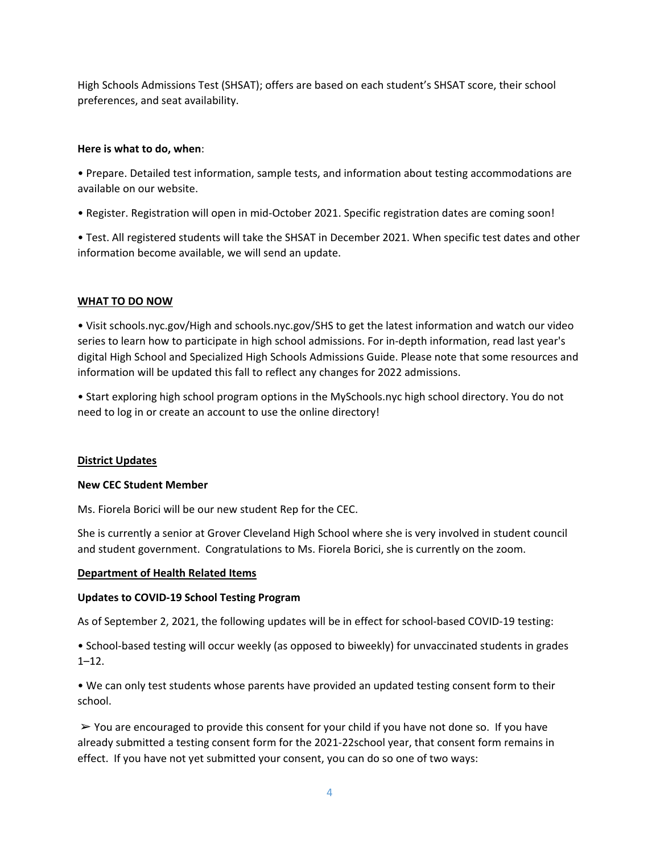High Schools Admissions Test (SHSAT); offers are based on each student's SHSAT score, their school preferences, and seat availability.

#### **Here is what to do, when**:

• Prepare. Detailed test information, sample tests, and information about testing accommodations are available on our website.

• Register. Registration will open in mid‐October 2021. Specific registration dates are coming soon!

• Test. All registered students will take the SHSAT in December 2021. When specific test dates and other information become available, we will send an update.

#### **WHAT TO DO NOW**

• Visit schools.nyc.gov/High and schools.nyc.gov/SHS to get the latest information and watch our video series to learn how to participate in high school admissions. For in‐depth information, read last year's digital High School and Specialized High Schools Admissions Guide. Please note that some resources and information will be updated this fall to reflect any changes for 2022 admissions.

• Start exploring high school program options in the MySchools.nyc high school directory. You do not need to log in or create an account to use the online directory!

#### **District Updates**

#### **New CEC Student Member**

Ms. Fiorela Borici will be our new student Rep for the CEC.

She is currently a senior at Grover Cleveland High School where she is very involved in student council and student government. Congratulations to Ms. Fiorela Borici, she is currently on the zoom.

#### **Department of Health Related Items**

#### **Updates to COVID‐19 School Testing Program**

As of September 2, 2021, the following updates will be in effect for school-based COVID-19 testing:

• School‐based testing will occur weekly (as opposed to biweekly) for unvaccinated students in grades 1–12.

• We can only test students whose parents have provided an updated testing consent form to their school.

 $\triangleright$  You are encouraged to provide this consent for your child if you have not done so. If you have already submitted a testing consent form for the 2021‐22school year, that consent form remains in effect. If you have not yet submitted your consent, you can do so one of two ways: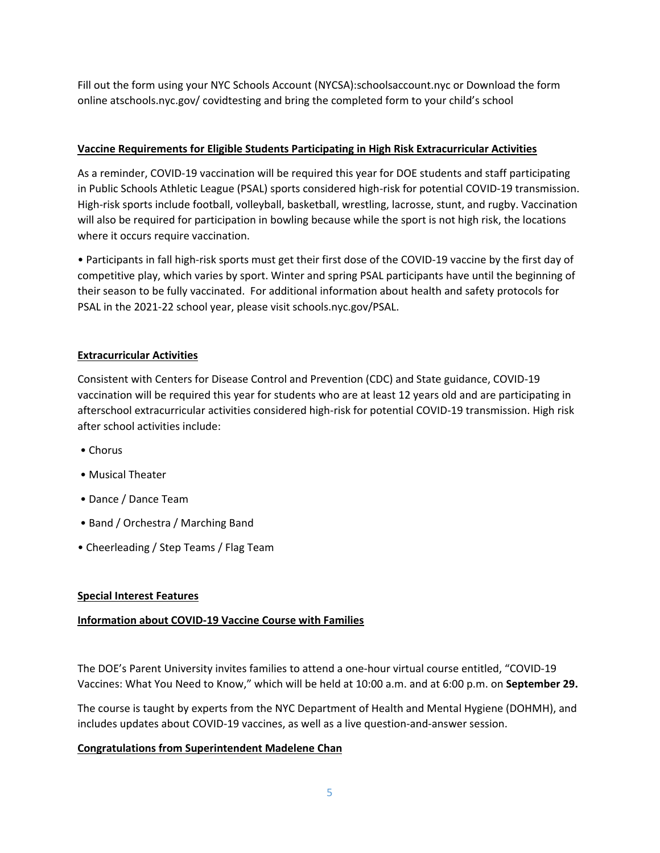Fill out the form using your NYC Schools Account (NYCSA):schoolsaccount.nyc or Download the form online atschools.nyc.gov/ covidtesting and bring the completed form to your child's school

## **Vaccine Requirements for Eligible Students Participating in High Risk Extracurricular Activities**

As a reminder, COVID‐19 vaccination will be required this year for DOE students and staff participating in Public Schools Athletic League (PSAL) sports considered high-risk for potential COVID-19 transmission. High-risk sports include football, volleyball, basketball, wrestling, lacrosse, stunt, and rugby. Vaccination will also be required for participation in bowling because while the sport is not high risk, the locations where it occurs require vaccination.

• Participants in fall high‐risk sports must get their first dose of the COVID‐19 vaccine by the first day of competitive play, which varies by sport. Winter and spring PSAL participants have until the beginning of their season to be fully vaccinated. For additional information about health and safety protocols for PSAL in the 2021‐22 school year, please visit schools.nyc.gov/PSAL.

## **Extracurricular Activities**

Consistent with Centers for Disease Control and Prevention (CDC) and State guidance, COVID‐19 vaccination will be required this year for students who are at least 12 years old and are participating in afterschool extracurricular activities considered high‐risk for potential COVID‐19 transmission. High risk after school activities include:

- Chorus
- Musical Theater
- Dance / Dance Team
- Band / Orchestra / Marching Band
- Cheerleading / Step Teams / Flag Team

## **Special Interest Features**

## **Information about COVID‐19 Vaccine Course with Families**

The DOE's Parent University invites families to attend a one‐hour virtual course entitled, "COVID‐19 Vaccines: What You Need to Know," which will be held at 10:00 a.m. and at 6:00 p.m. on **September 29.**

The course is taught by experts from the NYC Department of Health and Mental Hygiene (DOHMH), and includes updates about COVID‐19 vaccines, as well as a live question‐and‐answer session.

#### **Congratulations from Superintendent Madelene Chan**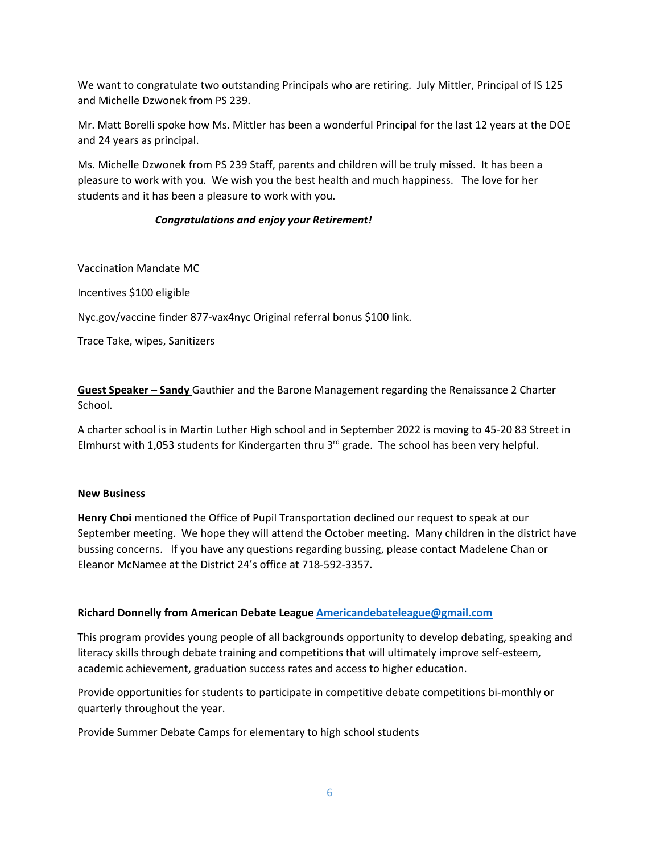We want to congratulate two outstanding Principals who are retiring. July Mittler, Principal of IS 125 and Michelle Dzwonek from PS 239.

Mr. Matt Borelli spoke how Ms. Mittler has been a wonderful Principal for the last 12 years at the DOE and 24 years as principal.

Ms. Michelle Dzwonek from PS 239 Staff, parents and children will be truly missed. It has been a pleasure to work with you. We wish you the best health and much happiness. The love for her students and it has been a pleasure to work with you.

## *Congratulations and enjoy your Retirement!*

Vaccination Mandate MC

Incentives \$100 eligible

Nyc.gov/vaccine finder 877‐vax4nyc Original referral bonus \$100 link.

Trace Take, wipes, Sanitizers

**Guest Speaker – Sandy** Gauthier and the Barone Management regarding the Renaissance 2 Charter School.

A charter school is in Martin Luther High school and in September 2022 is moving to 45‐20 83 Street in Elmhurst with 1,053 students for Kindergarten thru  $3<sup>rd</sup>$  grade. The school has been very helpful.

#### **New Business**

**Henry Choi** mentioned the Office of Pupil Transportation declined our request to speak at our September meeting. We hope they will attend the October meeting. Many children in the district have bussing concerns. If you have any questions regarding bussing, please contact Madelene Chan or Eleanor McNamee at the District 24's office at 718‐592‐3357.

#### **Richard Donnelly from American Debate League Americandebateleague@gmail.com**

This program provides young people of all backgrounds opportunity to develop debating, speaking and literacy skills through debate training and competitions that will ultimately improve self‐esteem, academic achievement, graduation success rates and access to higher education.

Provide opportunities for students to participate in competitive debate competitions bi-monthly or quarterly throughout the year.

Provide Summer Debate Camps for elementary to high school students